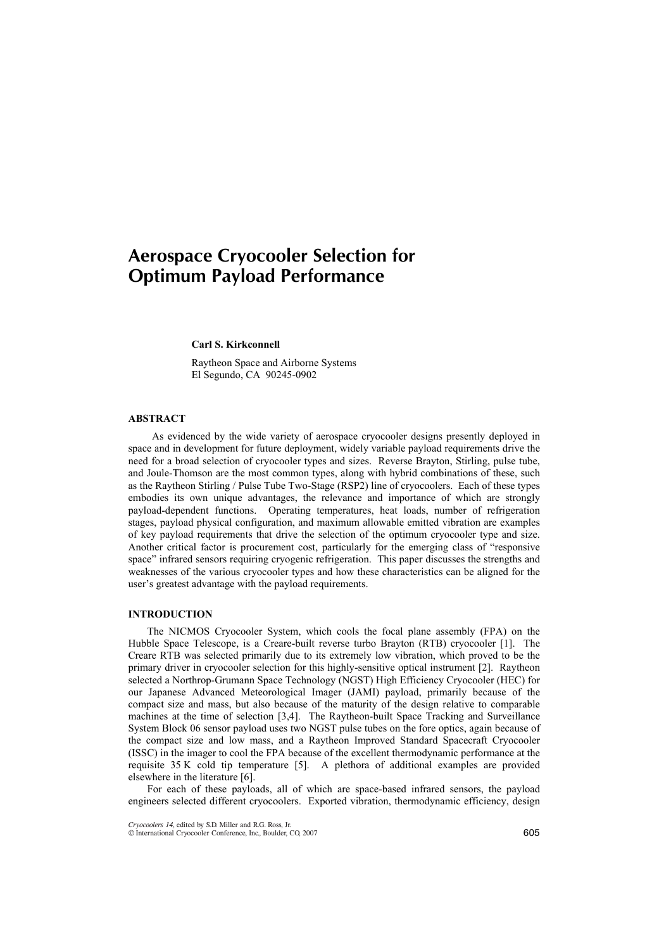# Aerospace Cryocooler Selection for Optimum Payload Performance

## **Carl S. Kirkconnell**

Raytheon Space and Airborne Systems El Segundo, CA 90245-0902

## **ABSTRACT**

As evidenced by the wide variety of aerospace cryocooler designs presently deployed in space and in development for future deployment, widely variable payload requirements drive the need for a broad selection of cryocooler types and sizes. Reverse Brayton, Stirling, pulse tube, and Joule-Thomson are the most common types, along with hybrid combinations of these, such as the Raytheon Stirling / Pulse Tube Two-Stage (RSP2) line of cryocoolers. Each of these types embodies its own unique advantages, the relevance and importance of which are strongly payload-dependent functions. Operating temperatures, heat loads, number of refrigeration stages, payload physical configuration, and maximum allowable emitted vibration are examples of key payload requirements that drive the selection of the optimum cryocooler type and size. Another critical factor is procurement cost, particularly for the emerging class of "responsive space" infrared sensors requiring cryogenic refrigeration. This paper discusses the strengths and weaknesses of the various cryocooler types and how these characteristics can be aligned for the user's greatest advantage with the payload requirements.

### **INTRODUCTION**

The NICMOS Cryocooler System, which cools the focal plane assembly (FPA) on the Hubble Space Telescope, is a Creare-built reverse turbo Brayton (RTB) cryocooler [1]. The Creare RTB was selected primarily due to its extremely low vibration, which proved to be the primary driver in cryocooler selection for this highly-sensitive optical instrument [2]. Raytheon selected a Northrop-Grumann Space Technology (NGST) High Efficiency Cryocooler (HEC) for our Japanese Advanced Meteorological Imager (JAMI) payload, primarily because of the compact size and mass, but also because of the maturity of the design relative to comparable machines at the time of selection [3,4]. The Raytheon-built Space Tracking and Surveillance System Block 06 sensor payload uses two NGST pulse tubes on the fore optics, again because of the compact size and low mass, and a Raytheon Improved Standard Spacecraft Cryocooler (ISSC) in the imager to cool the FPA because of the excellent thermodynamic performance at the requisite 35 K cold tip temperature [5]. A plethora of additional examples are provided elsewhere in the literature [6].

For each of these payloads, all of which are space-based infrared sensors, the payload engineers selected different cryocoolers. Exported vibration, thermodynamic efficiency, design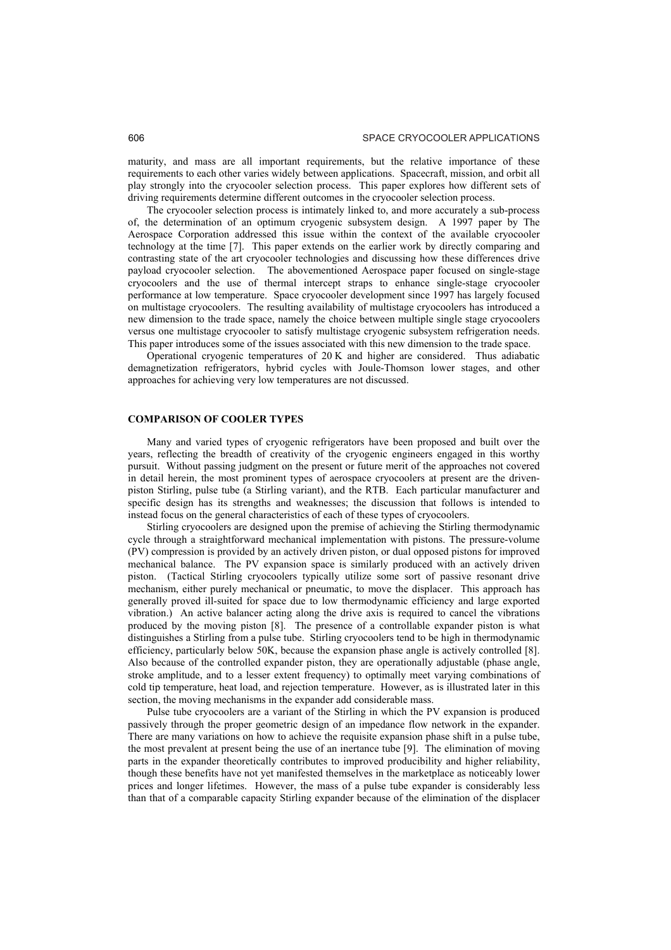maturity, and mass are all important requirements, but the relative importance of these requirements to each other varies widely between applications. Spacecraft, mission, and orbit all play strongly into the cryocooler selection process. This paper explores how different sets of driving requirements determine different outcomes in the cryocooler selection process.

The cryocooler selection process is intimately linked to, and more accurately a sub-process of, the determination of an optimum cryogenic subsystem design. A 1997 paper by The Aerospace Corporation addressed this issue within the context of the available cryocooler technology at the time [7]. This paper extends on the earlier work by directly comparing and contrasting state of the art cryocooler technologies and discussing how these differences drive payload cryocooler selection. The abovementioned Aerospace paper focused on single-stage cryocoolers and the use of thermal intercept straps to enhance single-stage cryocooler performance at low temperature. Space cryocooler development since 1997 has largely focused on multistage cryocoolers. The resulting availability of multistage cryocoolers has introduced a new dimension to the trade space, namely the choice between multiple single stage cryocoolers versus one multistage cryocooler to satisfy multistage cryogenic subsystem refrigeration needs. This paper introduces some of the issues associated with this new dimension to the trade space.

Operational cryogenic temperatures of 20 K and higher are considered. Thus adiabatic demagnetization refrigerators, hybrid cycles with Joule-Thomson lower stages, and other approaches for achieving very low temperatures are not discussed.

#### **COMPARISON OF COOLER TYPES**

Many and varied types of cryogenic refrigerators have been proposed and built over the years, reflecting the breadth of creativity of the cryogenic engineers engaged in this worthy pursuit. Without passing judgment on the present or future merit of the approaches not covered in detail herein, the most prominent types of aerospace cryocoolers at present are the drivenpiston Stirling, pulse tube (a Stirling variant), and the RTB. Each particular manufacturer and specific design has its strengths and weaknesses; the discussion that follows is intended to instead focus on the general characteristics of each of these types of cryocoolers.

Stirling cryocoolers are designed upon the premise of achieving the Stirling thermodynamic cycle through a straightforward mechanical implementation with pistons. The pressure-volume (PV) compression is provided by an actively driven piston, or dual opposed pistons for improved mechanical balance. The PV expansion space is similarly produced with an actively driven piston. (Tactical Stirling cryocoolers typically utilize some sort of passive resonant drive mechanism, either purely mechanical or pneumatic, to move the displacer. This approach has generally proved ill-suited for space due to low thermodynamic efficiency and large exported vibration.) An active balancer acting along the drive axis is required to cancel the vibrations produced by the moving piston [8]. The presence of a controllable expander piston is what distinguishes a Stirling from a pulse tube. Stirling cryocoolers tend to be high in thermodynamic efficiency, particularly below 50K, because the expansion phase angle is actively controlled [8]. Also because of the controlled expander piston, they are operationally adjustable (phase angle, stroke amplitude, and to a lesser extent frequency) to optimally meet varying combinations of cold tip temperature, heat load, and rejection temperature. However, as is illustrated later in this section, the moving mechanisms in the expander add considerable mass.

Pulse tube cryocoolers are a variant of the Stirling in which the PV expansion is produced passively through the proper geometric design of an impedance flow network in the expander. There are many variations on how to achieve the requisite expansion phase shift in a pulse tube, the most prevalent at present being the use of an inertance tube [9]. The elimination of moving parts in the expander theoretically contributes to improved producibility and higher reliability, though these benefits have not yet manifested themselves in the marketplace as noticeably lower prices and longer lifetimes. However, the mass of a pulse tube expander is considerably less than that of a comparable capacity Stirling expander because of the elimination of the displacer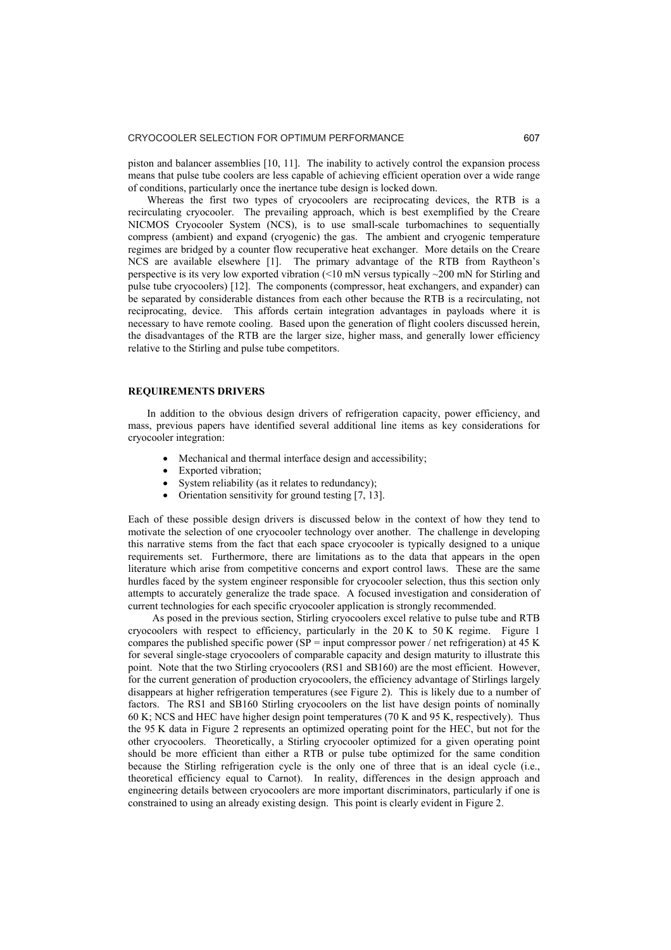piston and balancer assemblies [10, 11]. The inability to actively control the expansion process means that pulse tube coolers are less capable of achieving efficient operation over a wide range of conditions, particularly once the inertance tube design is locked down.

Whereas the first two types of cryocoolers are reciprocating devices, the RTB is a recirculating cryocooler. The prevailing approach, which is best exemplified by the Creare NICMOS Cryocooler System (NCS), is to use small-scale turbomachines to sequentially compress (ambient) and expand (cryogenic) the gas. The ambient and cryogenic temperature regimes are bridged by a counter flow recuperative heat exchanger. More details on the Creare NCS are available elsewhere [1]. The primary advantage of the RTB from Raytheon's perspective is its very low exported vibration (<10 mN versus typically ~200 mN for Stirling and pulse tube cryocoolers) [12]. The components (compressor, heat exchangers, and expander) can be separated by considerable distances from each other because the RTB is a recirculating, not reciprocating, device. This affords certain integration advantages in payloads where it is necessary to have remote cooling. Based upon the generation of flight coolers discussed herein, the disadvantages of the RTB are the larger size, higher mass, and generally lower efficiency relative to the Stirling and pulse tube competitors.

#### **REQUIREMENTS DRIVERS**

In addition to the obvious design drivers of refrigeration capacity, power efficiency, and mass, previous papers have identified several additional line items as key considerations for cryocooler integration:

- Mechanical and thermal interface design and accessibility;
- Exported vibration;
- System reliability (as it relates to redundancy);
- Orientation sensitivity for ground testing  $[7, 13]$ .

Each of these possible design drivers is discussed below in the context of how they tend to motivate the selection of one cryocooler technology over another. The challenge in developing this narrative stems from the fact that each space cryocooler is typically designed to a unique requirements set. Furthermore, there are limitations as to the data that appears in the open literature which arise from competitive concerns and export control laws. These are the same hurdles faced by the system engineer responsible for cryocooler selection, thus this section only attempts to accurately generalize the trade space. A focused investigation and consideration of current technologies for each specific cryocooler application is strongly recommended.

 As posed in the previous section, Stirling cryocoolers excel relative to pulse tube and RTB cryocoolers with respect to efficiency, particularly in the  $20 K$  to  $50 K$  regime. Figure 1 compares the published specific power (SP = input compressor power / net refrigeration) at 45 K for several single-stage cryocoolers of comparable capacity and design maturity to illustrate this point. Note that the two Stirling cryocoolers (RS1 and SB160) are the most efficient. However, for the current generation of production cryocoolers, the efficiency advantage of Stirlings largely disappears at higher refrigeration temperatures (see Figure 2). This is likely due to a number of factors. The RS1 and SB160 Stirling cryocoolers on the list have design points of nominally 60 K; NCS and HEC have higher design point temperatures (70 K and 95 K, respectively). Thus the 95 K data in Figure 2 represents an optimized operating point for the HEC, but not for the other cryocoolers. Theoretically, a Stirling cryocooler optimized for a given operating point should be more efficient than either a RTB or pulse tube optimized for the same condition because the Stirling refrigeration cycle is the only one of three that is an ideal cycle (i.e., theoretical efficiency equal to Carnot). In reality, differences in the design approach and engineering details between cryocoolers are more important discriminators, particularly if one is constrained to using an already existing design. This point is clearly evident in Figure 2.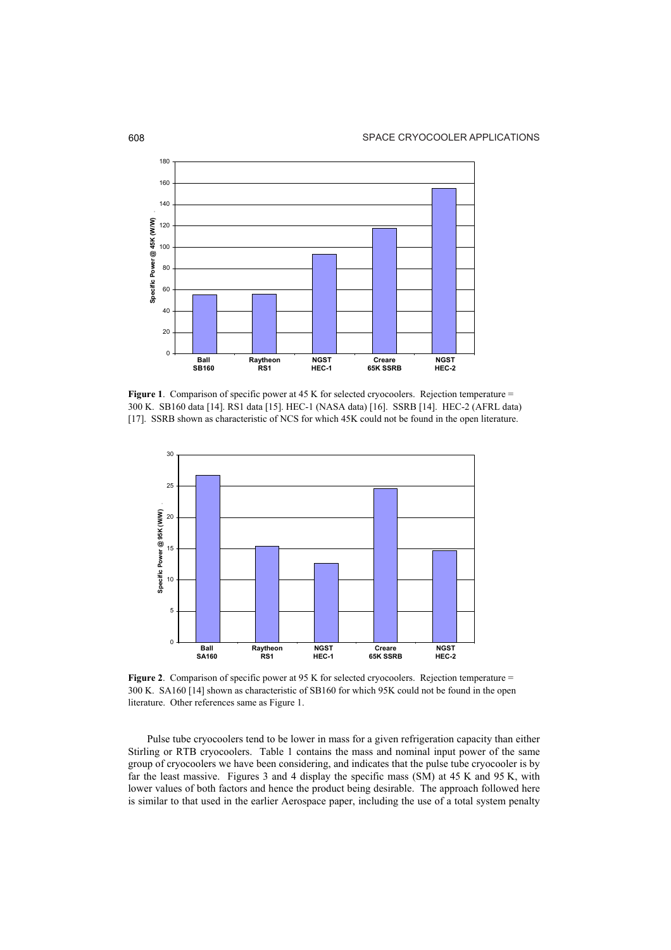

**Figure 1**. Comparison of specific power at 45 K for selected cryocoolers. Rejection temperature = 300 K. SB160 data [14]. RS1 data [15]. HEC-1 (NASA data) [16]. SSRB [14]. HEC-2 (AFRL data) [17]. SSRB shown as characteristic of NCS for which 45K could not be found in the open literature.



**Figure 2.** Comparison of specific power at 95 K for selected cryocoolers. Rejection temperature = 300 K. SA160 [14] shown as characteristic of SB160 for which 95K could not be found in the open literature. Other references same as Figure 1.

Pulse tube cryocoolers tend to be lower in mass for a given refrigeration capacity than either Stirling or RTB cryocoolers. Table 1 contains the mass and nominal input power of the same group of cryocoolers we have been considering, and indicates that the pulse tube cryocooler is by far the least massive. Figures 3 and 4 display the specific mass (SM) at 45 K and 95 K, with lower values of both factors and hence the product being desirable. The approach followed here is similar to that used in the earlier Aerospace paper, including the use of a total system penalty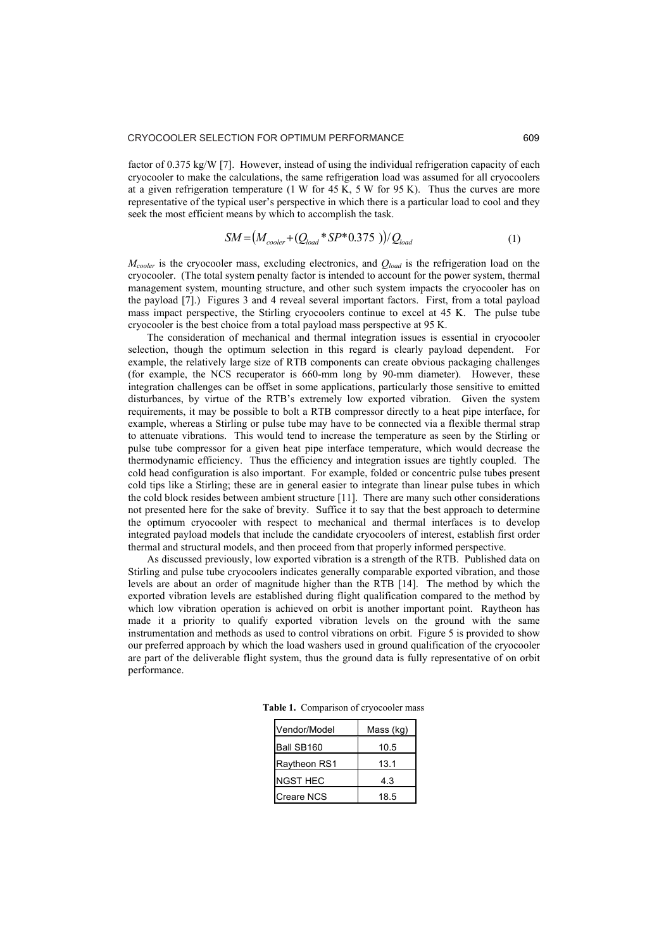factor of 0.375 kg/W [7]. However, instead of using the individual refrigeration capacity of each cryocooler to make the calculations, the same refrigeration load was assumed for all cryocoolers at a given refrigeration temperature  $(1 \text{ W for } 45 \text{ K}, 5 \text{ W for } 95 \text{ K})$ . Thus the curves are more representative of the typical user's perspective in which there is a particular load to cool and they seek the most efficient means by which to accomplish the task.

$$
SM = (M_{cooler} + (Q_{load} * SP * 0.375)) / Q_{load}
$$
 (1)

*Mcooler* is the cryocooler mass, excluding electronics, and *Qload* is the refrigeration load on the cryocooler. (The total system penalty factor is intended to account for the power system, thermal management system, mounting structure, and other such system impacts the cryocooler has on the payload [7].) Figures 3 and 4 reveal several important factors. First, from a total payload mass impact perspective, the Stirling cryocoolers continue to excel at 45 K. The pulse tube cryocooler is the best choice from a total payload mass perspective at 95 K.

The consideration of mechanical and thermal integration issues is essential in cryocooler selection, though the optimum selection in this regard is clearly payload dependent. For example, the relatively large size of RTB components can create obvious packaging challenges (for example, the NCS recuperator is 660-mm long by 90-mm diameter). However, these integration challenges can be offset in some applications, particularly those sensitive to emitted disturbances, by virtue of the RTB's extremely low exported vibration. Given the system requirements, it may be possible to bolt a RTB compressor directly to a heat pipe interface, for example, whereas a Stirling or pulse tube may have to be connected via a flexible thermal strap to attenuate vibrations. This would tend to increase the temperature as seen by the Stirling or pulse tube compressor for a given heat pipe interface temperature, which would decrease the thermodynamic efficiency. Thus the efficiency and integration issues are tightly coupled. The cold head configuration is also important. For example, folded or concentric pulse tubes present cold tips like a Stirling; these are in general easier to integrate than linear pulse tubes in which the cold block resides between ambient structure [11]. There are many such other considerations not presented here for the sake of brevity. Suffice it to say that the best approach to determine the optimum cryocooler with respect to mechanical and thermal interfaces is to develop integrated payload models that include the candidate cryocoolers of interest, establish first order thermal and structural models, and then proceed from that properly informed perspective.

As discussed previously, low exported vibration is a strength of the RTB. Published data on Stirling and pulse tube cryocoolers indicates generally comparable exported vibration, and those levels are about an order of magnitude higher than the RTB [14]. The method by which the exported vibration levels are established during flight qualification compared to the method by which low vibration operation is achieved on orbit is another important point. Raytheon has made it a priority to qualify exported vibration levels on the ground with the same instrumentation and methods as used to control vibrations on orbit. Figure 5 is provided to show our preferred approach by which the load washers used in ground qualification of the cryocooler are part of the deliverable flight system, thus the ground data is fully representative of on orbit performance.

| Vendor/Model      | Mass (kg) |
|-------------------|-----------|
| Ball SB160        | 10.5      |
| Raytheon RS1      | 13.1      |
| <b>NGST HEC</b>   | 4.3       |
| <b>Creare NCS</b> | 18.5      |

**Table 1.** Comparison of cryocooler mass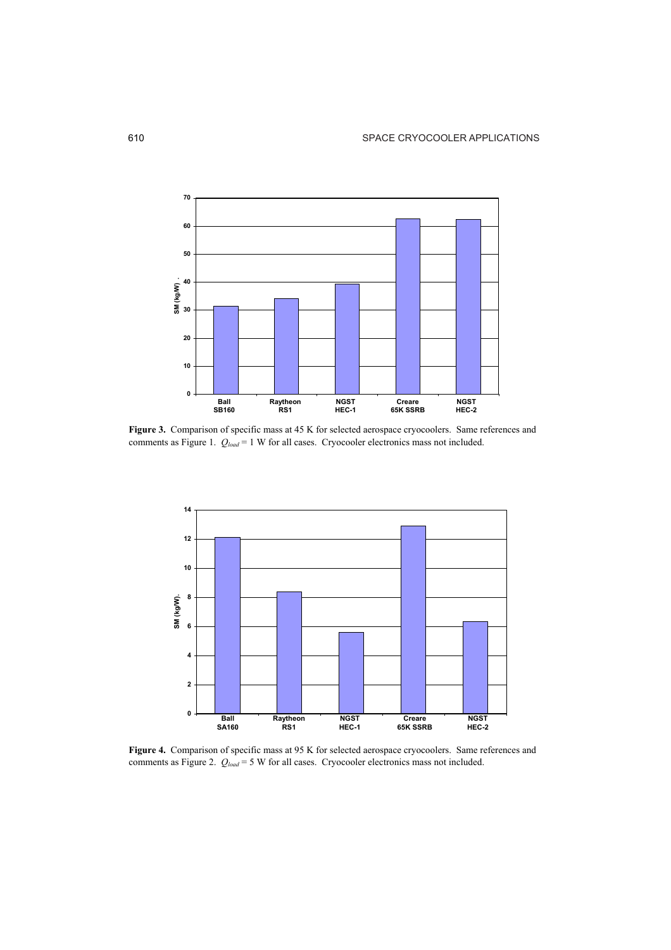

Figure 3. Comparison of specific mass at 45 K for selected aerospace cryocoolers. Same references and comments as Figure 1.  $Q_{load} = 1$  W for all cases. Cryocooler electronics mass not included.



**Figure 4.** Comparison of specific mass at 95 K for selected aerospace cryocoolers. Same references and comments as Figure 2.  $Q_{load} = 5$  W for all cases. Cryocooler electronics mass not included.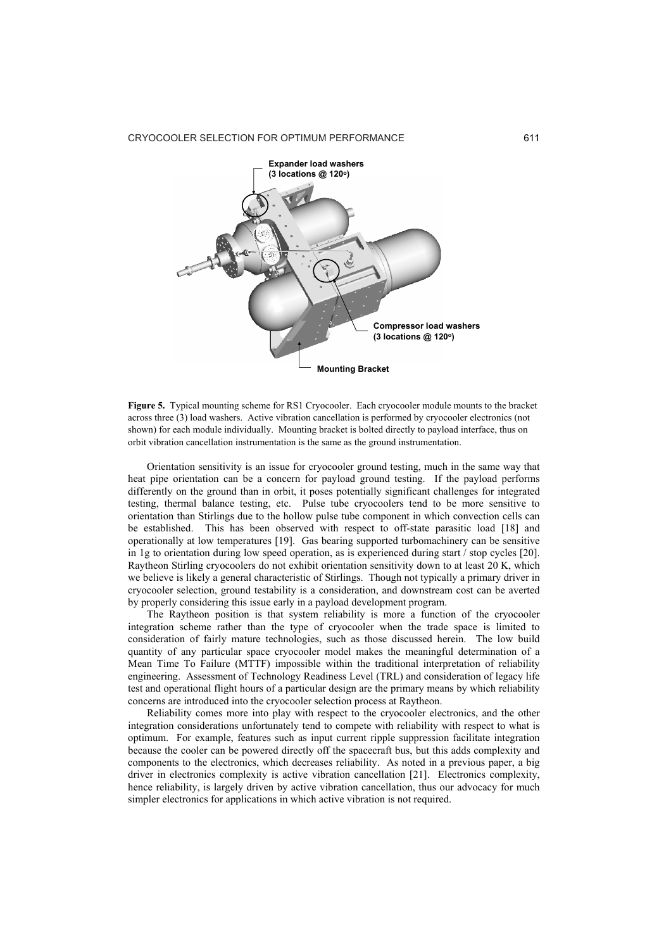

**Figure 5.** Typical mounting scheme for RS1 Cryocooler. Each cryocooler module mounts to the bracket across three (3) load washers. Active vibration cancellation is performed by cryocooler electronics (not shown) for each module individually. Mounting bracket is bolted directly to payload interface, thus on orbit vibration cancellation instrumentation is the same as the ground instrumentation.

Orientation sensitivity is an issue for cryocooler ground testing, much in the same way that heat pipe orientation can be a concern for payload ground testing. If the payload performs differently on the ground than in orbit, it poses potentially significant challenges for integrated testing, thermal balance testing, etc. Pulse tube cryocoolers tend to be more sensitive to orientation than Stirlings due to the hollow pulse tube component in which convection cells can be established. This has been observed with respect to off-state parasitic load [18] and operationally at low temperatures [19]. Gas bearing supported turbomachinery can be sensitive in 1g to orientation during low speed operation, as is experienced during start / stop cycles [20]. Raytheon Stirling cryocoolers do not exhibit orientation sensitivity down to at least 20 K, which we believe is likely a general characteristic of Stirlings. Though not typically a primary driver in cryocooler selection, ground testability is a consideration, and downstream cost can be averted by properly considering this issue early in a payload development program.

The Raytheon position is that system reliability is more a function of the cryocooler integration scheme rather than the type of cryocooler when the trade space is limited to consideration of fairly mature technologies, such as those discussed herein. The low build quantity of any particular space cryocooler model makes the meaningful determination of a Mean Time To Failure (MTTF) impossible within the traditional interpretation of reliability engineering. Assessment of Technology Readiness Level (TRL) and consideration of legacy life test and operational flight hours of a particular design are the primary means by which reliability concerns are introduced into the cryocooler selection process at Raytheon.

Reliability comes more into play with respect to the cryocooler electronics, and the other integration considerations unfortunately tend to compete with reliability with respect to what is optimum. For example, features such as input current ripple suppression facilitate integration because the cooler can be powered directly off the spacecraft bus, but this adds complexity and components to the electronics, which decreases reliability. As noted in a previous paper, a big driver in electronics complexity is active vibration cancellation [21]. Electronics complexity, hence reliability, is largely driven by active vibration cancellation, thus our advocacy for much simpler electronics for applications in which active vibration is not required.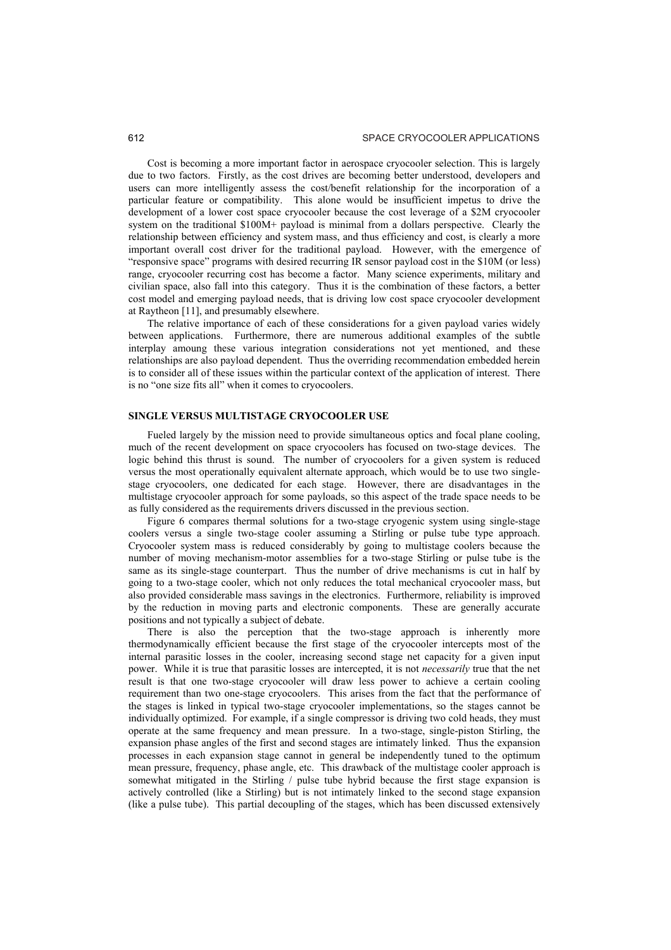Cost is becoming a more important factor in aerospace cryocooler selection. This is largely due to two factors. Firstly, as the cost drives are becoming better understood, developers and users can more intelligently assess the cost/benefit relationship for the incorporation of a particular feature or compatibility. This alone would be insufficient impetus to drive the development of a lower cost space cryocooler because the cost leverage of a \$2M cryocooler system on the traditional \$100M+ payload is minimal from a dollars perspective. Clearly the relationship between efficiency and system mass, and thus efficiency and cost, is clearly a more important overall cost driver for the traditional payload. However, with the emergence of ìresponsive spaceî programs with desired recurring IR sensor payload cost in the \$10M (or less) range, cryocooler recurring cost has become a factor. Many science experiments, military and civilian space, also fall into this category. Thus it is the combination of these factors, a better cost model and emerging payload needs, that is driving low cost space cryocooler development at Raytheon [11], and presumably elsewhere.

The relative importance of each of these considerations for a given payload varies widely between applications. Furthermore, there are numerous additional examples of the subtle interplay amoung these various integration considerations not yet mentioned, and these relationships are also payload dependent. Thus the overriding recommendation embedded herein is to consider all of these issues within the particular context of the application of interest. There is no "one size fits all" when it comes to cryocoolers.

## **SINGLE VERSUS MULTISTAGE CRYOCOOLER USE**

Fueled largely by the mission need to provide simultaneous optics and focal plane cooling, much of the recent development on space cryocoolers has focused on two-stage devices. The logic behind this thrust is sound. The number of cryocoolers for a given system is reduced versus the most operationally equivalent alternate approach, which would be to use two singlestage cryocoolers, one dedicated for each stage. However, there are disadvantages in the multistage cryocooler approach for some payloads, so this aspect of the trade space needs to be as fully considered as the requirements drivers discussed in the previous section.

Figure 6 compares thermal solutions for a two-stage cryogenic system using single-stage coolers versus a single two-stage cooler assuming a Stirling or pulse tube type approach. Cryocooler system mass is reduced considerably by going to multistage coolers because the number of moving mechanism-motor assemblies for a two-stage Stirling or pulse tube is the same as its single-stage counterpart. Thus the number of drive mechanisms is cut in half by going to a two-stage cooler, which not only reduces the total mechanical cryocooler mass, but also provided considerable mass savings in the electronics. Furthermore, reliability is improved by the reduction in moving parts and electronic components. These are generally accurate positions and not typically a subject of debate.

There is also the perception that the two-stage approach is inherently more thermodynamically efficient because the first stage of the cryocooler intercepts most of the internal parasitic losses in the cooler, increasing second stage net capacity for a given input power. While it is true that parasitic losses are intercepted, it is not *necessarily* true that the net result is that one two-stage cryocooler will draw less power to achieve a certain cooling requirement than two one-stage cryocoolers. This arises from the fact that the performance of the stages is linked in typical two-stage cryocooler implementations, so the stages cannot be individually optimized. For example, if a single compressor is driving two cold heads, they must operate at the same frequency and mean pressure. In a two-stage, single-piston Stirling, the expansion phase angles of the first and second stages are intimately linked. Thus the expansion processes in each expansion stage cannot in general be independently tuned to the optimum mean pressure, frequency, phase angle, etc. This drawback of the multistage cooler approach is somewhat mitigated in the Stirling / pulse tube hybrid because the first stage expansion is actively controlled (like a Stirling) but is not intimately linked to the second stage expansion (like a pulse tube). This partial decoupling of the stages, which has been discussed extensively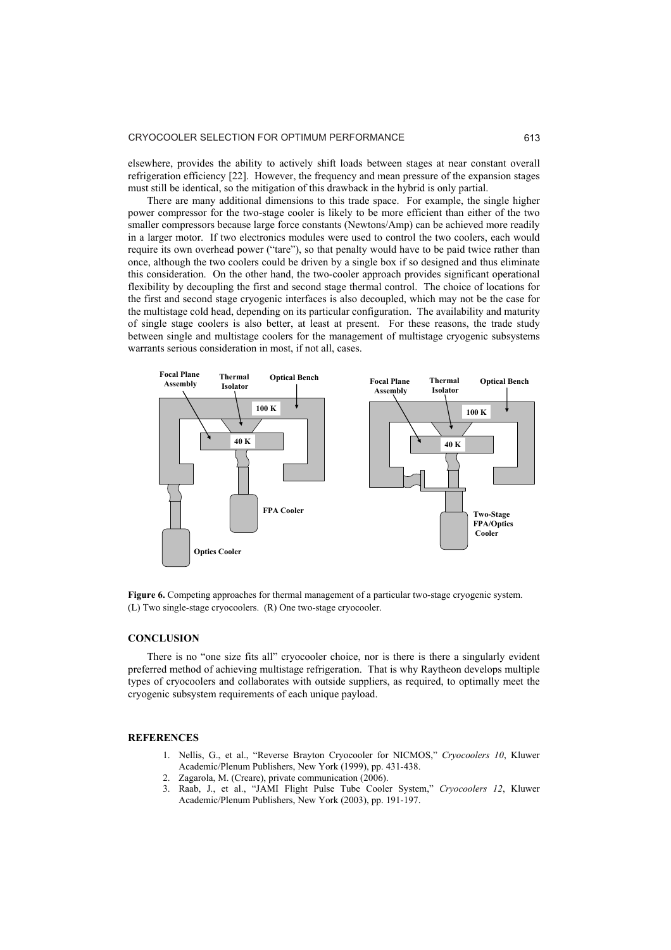elsewhere, provides the ability to actively shift loads between stages at near constant overall refrigeration efficiency [22]. However, the frequency and mean pressure of the expansion stages must still be identical, so the mitigation of this drawback in the hybrid is only partial.

There are many additional dimensions to this trade space. For example, the single higher power compressor for the two-stage cooler is likely to be more efficient than either of the two smaller compressors because large force constants (Newtons/Amp) can be achieved more readily in a larger motor. If two electronics modules were used to control the two coolers, each would require its own overhead power ("tare"), so that penalty would have to be paid twice rather than once, although the two coolers could be driven by a single box if so designed and thus eliminate this consideration. On the other hand, the two-cooler approach provides significant operational flexibility by decoupling the first and second stage thermal control. The choice of locations for the first and second stage cryogenic interfaces is also decoupled, which may not be the case for the multistage cold head, depending on its particular configuration. The availability and maturity of single stage coolers is also better, at least at present. For these reasons, the trade study between single and multistage coolers for the management of multistage cryogenic subsystems warrants serious consideration in most, if not all, cases.



Figure 6. Competing approaches for thermal management of a particular two-stage cryogenic system. (L) Two single-stage cryocoolers. (R) One two-stage cryocooler.

#### **CONCLUSION**

There is no "one size fits all" cryocooler choice, nor is there is there a singularly evident preferred method of achieving multistage refrigeration. That is why Raytheon develops multiple types of cryocoolers and collaborates with outside suppliers, as required, to optimally meet the cryogenic subsystem requirements of each unique payload.

## **REFERENCES**

- 1. Nellis, G., et al., "Reverse Brayton Cryocooler for NICMOS," Cryocoolers 10, Kluwer Academic/Plenum Publishers, New York (1999), pp. 431-438.
- 2. Zagarola, M. (Creare), private communication (2006).
- 3. Raab, J., et al., "JAMI Flight Pulse Tube Cooler System," *Cryocoolers 12*, Kluwer Academic/Plenum Publishers, New York (2003), pp. 191-197.